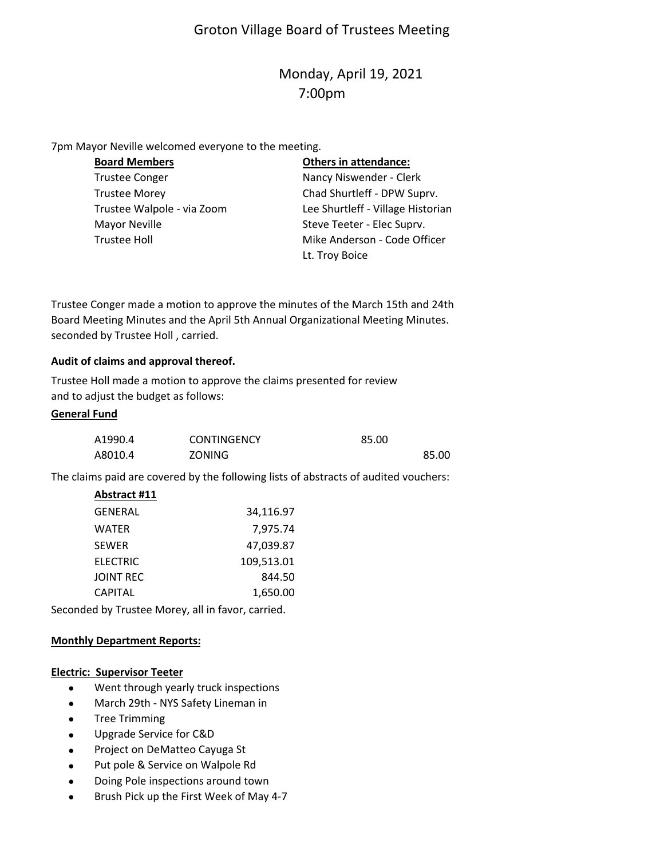# Groton Village Board of Trustees Meeting

# Monday, April 19, 2021 7:00pm

7pm Mayor Neville welcomed everyone to the meeting.

| <b>Board Members</b>       | <b>Others in attendance:</b>      |
|----------------------------|-----------------------------------|
| <b>Trustee Conger</b>      | Nancy Niswender - Clerk           |
| <b>Trustee Morey</b>       | Chad Shurtleff - DPW Suprv.       |
| Trustee Walpole - via Zoom | Lee Shurtleff - Village Historian |
| <b>Mayor Neville</b>       | Steve Teeter - Elec Suprv.        |
| <b>Trustee Holl</b>        | Mike Anderson - Code Officer      |
|                            | Lt. Troy Boice                    |

Trustee Conger made a motion to approve the minutes of the March 15th and 24th Board Meeting Minutes and the April 5th Annual Organizational Meeting Minutes. seconded by Trustee Holl , carried.

### **Audit of claims and approval thereof.**

Trustee Holl made a motion to approve the claims presented for review and to adjust the budget as follows:

### **General Fund**

| A1990.4 | <b>CONTINGENCY</b> | 85.00 |       |
|---------|--------------------|-------|-------|
| A8010.4 | <b>ZONING</b>      |       | 85.00 |

The claims paid are covered by the following lists of abstracts of audited vouchers:

| Abstract #11    |            |
|-----------------|------------|
| GENERAL         | 34,116.97  |
| WATER           | 7,975.74   |
| <b>SEWER</b>    | 47.039.87  |
| <b>ELECTRIC</b> | 109,513.01 |
| JOINT REC       | 844.50     |
| <b>CAPITAL</b>  | 1,650.00   |

Seconded by Trustee Morey, all in favor, carried.

#### **Monthly Department Reports:**

#### **Electric: Supervisor Teeter**

- Went through yearly truck inspections
- March 29th NYS Safety Lineman in
- Tree Trimming
- Upgrade Service for C&D
- Project on DeMatteo Cayuga St
- Put pole & Service on Walpole Rd
- Doing Pole inspections around town
- Brush Pick up the First Week of May 4-7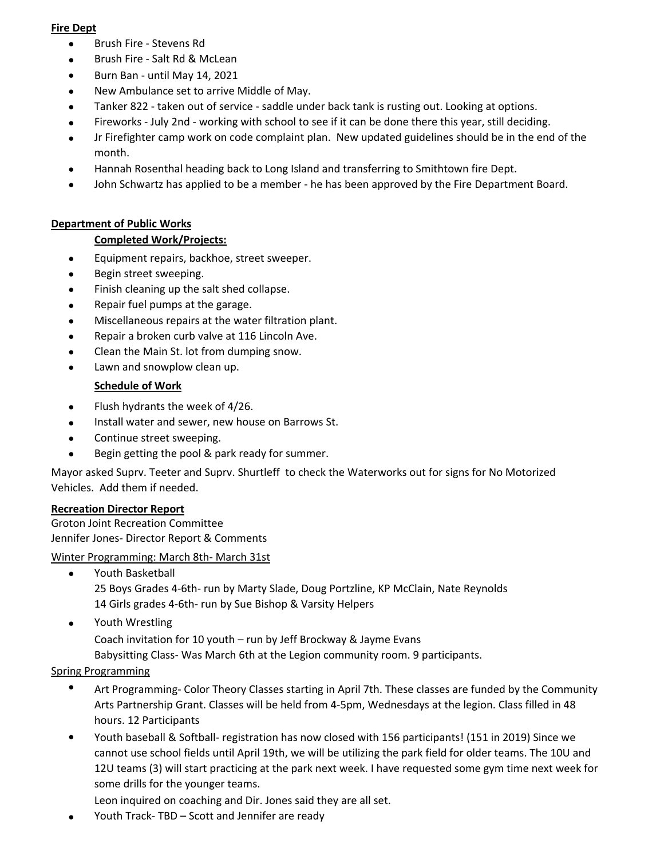### **Fire Dept**

- Brush Fire ‐ Stevens Rd
- Brush Fire ‐ Salt Rd & McLean
- Burn Ban ‐ until May 14, 2021
- New Ambulance set to arrive Middle of May.
- Tanker 822 ‐ taken out of service ‐ saddle under back tank is rusting out. Looking at options.
- Fireworks ‐ July 2nd ‐ working with school to see if it can be done there this year, still deciding.
- $\bullet$ Jr Firefighter camp work on code complaint plan. New updated guidelines should be in the end of the month.
- Hannah Rosenthal heading back to Long Island and transferring to Smithtown fire Dept.
- $\bullet$ John Schwartz has applied to be a member ‐ he has been approved by the Fire Department Board.

# **Department of Public Works**

# **Completed Work/Projects:**

- **Equipment repairs, backhoe, street sweeper.**
- Begin street sweeping.
- Finish cleaning up the salt shed collapse.
- Repair fuel pumps at the garage.
- Miscellaneous repairs at the water filtration plant.
- Repair a broken curb valve at 116 Lincoln Ave.
- Clean the Main St. lot from dumping snow.
- Lawn and snowplow clean up.

# **Schedule of Work**

- Flush hydrants the week of 4/26.
- Install water and sewer, new house on Barrows St.
- Continue street sweeping.
- Begin getting the pool & park ready for summer.

Mayor asked Suprv. Teeter and Suprv. Shurtleff to check the Waterworks out for signs for No Motorized Vehicles. Add them if needed.

# **Recreation Director Report**

Groton Joint Recreation Committee Jennifer Jones‐ Director Report & Comments

Winter Programming: March 8th‐ March 31st

- Youth Basketball 25 Boys Grades 4‐6th‐ run by Marty Slade, Doug Portzline, KP McClain, Nate Reynolds 14 Girls grades 4‐6th‐ run by Sue Bishop & Varsity Helpers
- Youth Wrestling

Coach invitation for 10 youth – run by Jeff Brockway & Jayme Evans

Babysitting Class‐ Was March 6th at the Legion community room. 9 participants.

# Spring Programming

- $\bullet$ Art Programming‐ Color Theory Classes starting in April 7th. These classes are funded by the Community Arts Partnership Grant. Classes will be held from 4‐5pm, Wednesdays at the legion. Class filled in 48 hours. 12 Participants
- $\bullet$ Youth baseball & Softball‐ registration has now closed with 156 participants! (151 in 2019) Since we cannot use school fields until April 19th, we will be utilizing the park field for older teams. The 10U and 12U teams (3) will start practicing at the park next week. I have requested some gym time next week for some drills for the younger teams.

Leon inquired on coaching and Dir. Jones said they are all set.

Youth Track‐ TBD – Scott and Jennifer are ready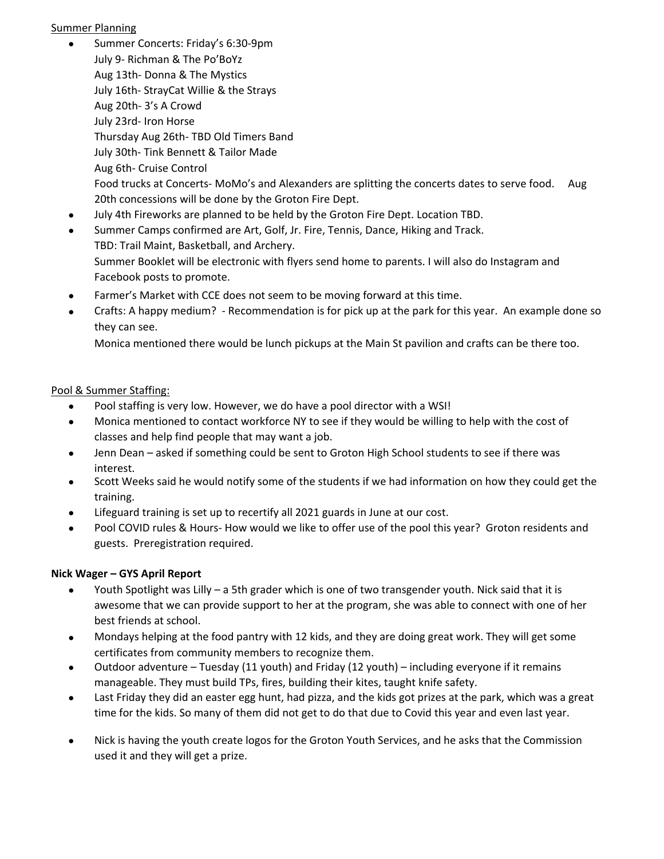### Summer Planning

- Summer Concerts: Friday's 6:30‐9pm July 9‐ Richman & The Po'BoYz Aug 13th‐ Donna & The Mystics July 16th‐ StrayCat Willie & the Strays Aug 20th‐ 3's A Crowd July 23rd‐ Iron Horse Thursday Aug 26th‐ TBD Old Timers Band July 30th‐ Tink Bennett & Tailor Made Aug 6th‐ Cruise Control Food trucks at Concerts-MoMo's and Alexanders are splitting the concerts dates to serve food. Aug 20th concessions will be done by the Groton Fire Dept.
- July 4th Fireworks are planned to be held by the Groton Fire Dept. Location TBD.
- Summer Camps confirmed are Art, Golf, Jr. Fire, Tennis, Dance, Hiking and Track. TBD: Trail Maint, Basketball, and Archery. Summer Booklet will be electronic with flyers send home to parents. I will also do Instagram and Facebook posts to promote.
- Farmer's Market with CCE does not seem to be moving forward at this time.
- $\bullet$ Crafts: A happy medium? ‐ Recommendation is for pick up at the park for this year. An example done so they can see.

Monica mentioned there would be lunch pickups at the Main St pavilion and crafts can be there too.

# Pool & Summer Staffing:

- Pool staffing is very low. However, we do have a pool director with a WSI!
- $\bullet$ Monica mentioned to contact workforce NY to see if they would be willing to help with the cost of classes and help find people that may want a job.
- $\bullet$ Jenn Dean – asked if something could be sent to Groton High School students to see if there was interest.
- $\bullet$ Scott Weeks said he would notify some of the students if we had information on how they could get the training.
- Lifeguard training is set up to recertify all 2021 guards in June at our cost.
- $\bullet$ Pool COVID rules & Hours- How would we like to offer use of the pool this year? Groton residents and guests. Preregistration required.

# **Nick Wager – GYS April Report**

- $\bullet$ Youth Spotlight was Lilly – a 5th grader which is one of two transgender youth. Nick said that it is awesome that we can provide support to her at the program, she was able to connect with one of her best friends at school.
- $\bullet$ Mondays helping at the food pantry with 12 kids, and they are doing great work. They will get some certificates from community members to recognize them.
- $\bullet$ Outdoor adventure – Tuesday (11 youth) and Friday (12 youth) – including everyone if it remains manageable. They must build TPs, fires, building their kites, taught knife safety.
- $\bullet$ Last Friday they did an easter egg hunt, had pizza, and the kids got prizes at the park, which was a great time for the kids. So many of them did not get to do that due to Covid this year and even last year.
- $\bullet$ Nick is having the youth create logos for the Groton Youth Services, and he asks that the Commission used it and they will get a prize.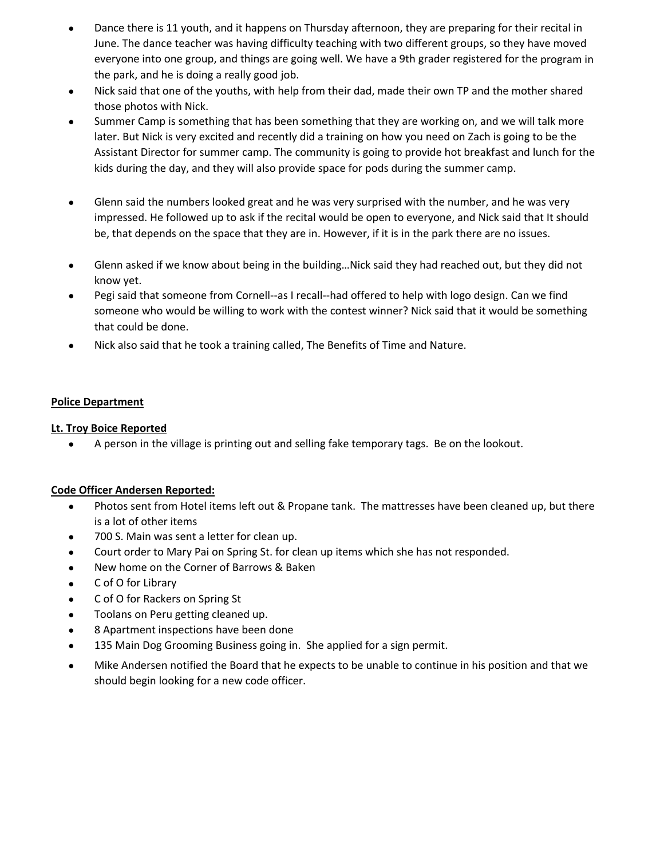- $\bullet$ Dance there is 11 youth, and it happens on Thursday afternoon, they are preparing for their recital in June. The dance teacher was having difficulty teaching with two different groups, so they have moved everyone into one group, and things are going well. We have a 9th grader registered for the program in the park, and he is doing a really good job.
- $\bullet$ Nick said that one of the youths, with help from their dad, made their own TP and the mother shared those photos with Nick.
- $\bullet$ Summer Camp is something that has been something that they are working on, and we will talk more later. But Nick is very excited and recently did a training on how you need on Zach is going to be the Assistant Director for summer camp. The community is going to provide hot breakfast and lunch for the kids during the day, and they will also provide space for pods during the summer camp.
- $\bullet$ Glenn said the numbers looked great and he was very surprised with the number, and he was very impressed. He followed up to ask if the recital would be open to everyone, and Nick said that It should be, that depends on the space that they are in. However, if it is in the park there are no issues.
- $\bullet$ Glenn asked if we know about being in the building…Nick said they had reached out, but they did not know yet.
- $\bullet$ Pegi said that someone from Cornell‐‐as I recall‐‐had offered to help with logo design. Can we find someone who would be willing to work with the contest winner? Nick said that it would be something that could be done.
- $\bullet$ Nick also said that he took a training called, The Benefits of Time and Nature.

# **Police Department**

## **Lt. Troy Boice Reported**

A person in the village is printing out and selling fake temporary tags. Be on the lookout.

#### **Code Officer Andersen Reported:**

- $\bullet$ Photos sent from Hotel items left out & Propane tank. The mattresses have been cleaned up, but there is a lot of other items
- 700 S. Main was sent a letter for clean up.
- Court order to Mary Pai on Spring St. for clean up items which she has not responded.
- New home on the Corner of Barrows & Baken
- C of O for Library
- C of O for Rackers on Spring St
- Toolans on Peru getting cleaned up.
- 8 Apartment inspections have been done
- 135 Main Dog Grooming Business going in. She applied for a sign permit.
- Mike Andersen notified the Board that he expects to be unable to continue in his position and that we should begin looking for a new code officer.